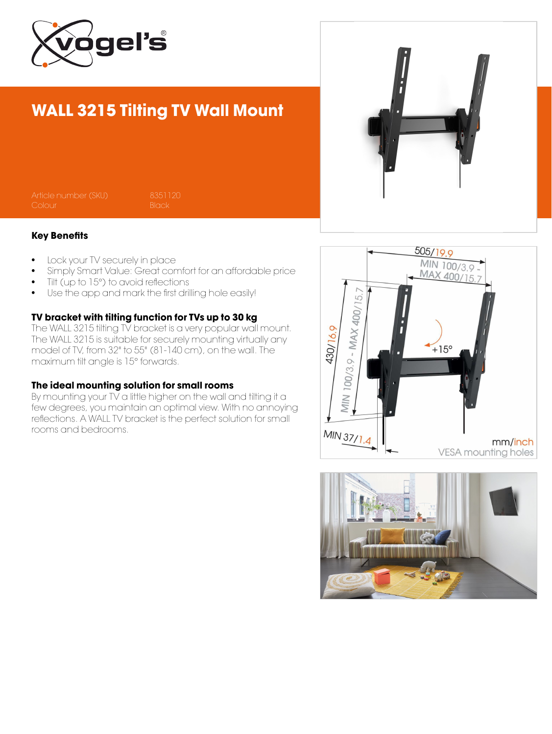

## WALL 3215 Tilting TV Wall Mount

#### Key Benefits

- Lock your TV securely in place
- Simply Smart Value: Great comfort for an affordable price
- Tilt (up to 15°) to avoid reflections
- Use the app and mark the first drilling hole easily!

### TV bracket with tilting function for TVs up to 30 kg

The WALL 3215 tilting TV bracket is a very popular wall mount. The WALL 3215 is suitable for securely mounting virtually any model of TV, from 32" to 55" (81-140 cm), on the wall. The maximum tilt angle is 15° forwards.

#### The ideal mounting solution for small rooms

By mounting your TV a little higher on the wall and tilting it a few degrees, you maintain an optimal view. With no annoying reflections. A WALL TV bracket is the perfect solution for small rooms and bedrooms.